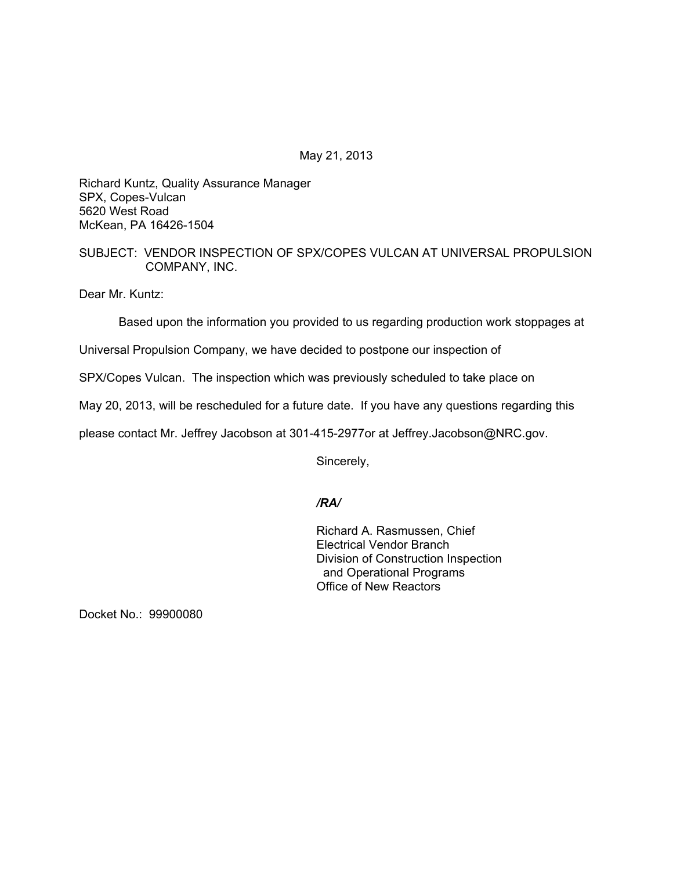May 21, 2013

Richard Kuntz, Quality Assurance Manager SPX, Copes-Vulcan 5620 West Road McKean, PA 16426-1504

# SUBJECT: VENDOR INSPECTION OF SPX/COPES VULCAN AT UNIVERSAL PROPULSION COMPANY, INC.

Dear Mr. Kuntz:

Based upon the information you provided to us regarding production work stoppages at

Universal Propulsion Company, we have decided to postpone our inspection of

SPX/Copes Vulcan. The inspection which was previously scheduled to take place on

May 20, 2013, will be rescheduled for a future date. If you have any questions regarding this

please contact Mr. Jeffrey Jacobson at 301-415-2977or at Jeffrey.Jacobson@NRC.gov.

Sincerely,

# */RA/*

Richard A. Rasmussen, Chief Electrical Vendor Branch Division of Construction Inspection and Operational Programs Office of New Reactors

Docket No.: 99900080